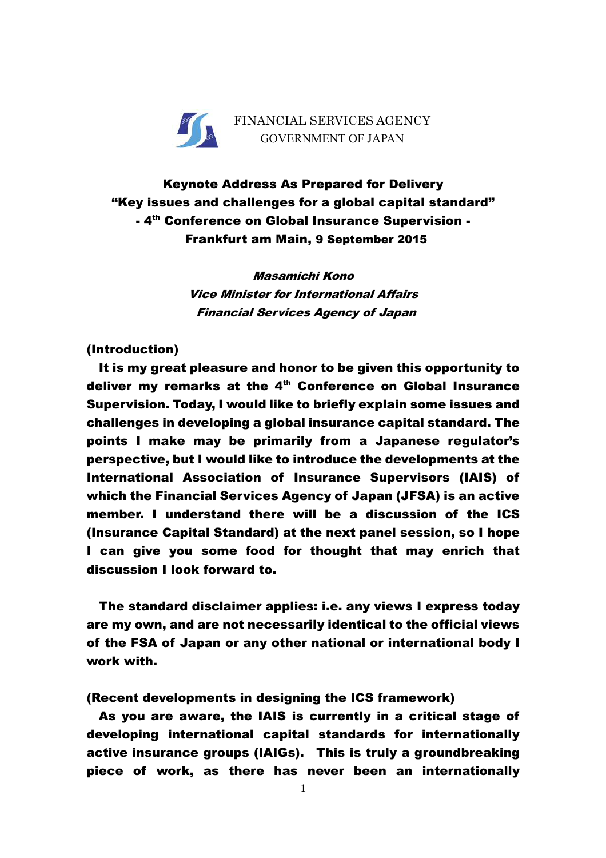

Keynote Address As Prepared for Delivery "Key issues and challenges for a global capital standard" - 4<sup>th</sup> Conference on Global Insurance Supervision -Frankfurt am Main, 9 September 2015

> Masamichi Kono Vice Minister for International Affairs Financial Services Agency of Japan

## (Introduction)

It is my great pleasure and honor to be given this opportunity to deliver my remarks at the  $4<sup>th</sup>$  Conference on Global Insurance Supervision. Today, I would like to briefly explain some issues and challenges in developing a global insurance capital standard. The points I make may be primarily from a Japanese regulator's perspective, but I would like to introduce the developments at the International Association of Insurance Supervisors (IAIS) of which the Financial Services Agency of Japan (JFSA) is an active member. I understand there will be a discussion of the ICS (Insurance Capital Standard) at the next panel session, so I hope I can give you some food for thought that may enrich that discussion I look forward to.

The standard disclaimer applies: i.e. any views I express today are my own, and are not necessarily identical to the official views of the FSA of Japan or any other national or international body I work with.

(Recent developments in designing the ICS framework)

As you are aware, the IAIS is currently in a critical stage of developing international capital standards for internationally active insurance groups (IAIGs). This is truly a groundbreaking piece of work, as there has never been an internationally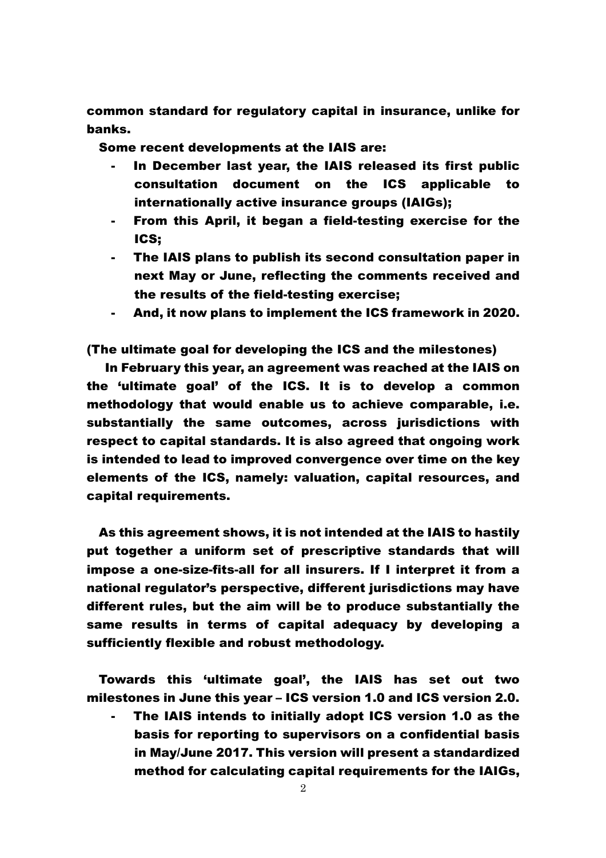common standard for regulatory capital in insurance, unlike for banks.

Some recent developments at the IAIS are:

- In December last year, the IAIS released its first public consultation document on the ICS applicable to internationally active insurance groups (IAIGs);
- From this April, it began a field-testing exercise for the ICS;
- The IAIS plans to publish its second consultation paper in next May or June, reflecting the comments received and the results of the field-testing exercise;
- And, it now plans to implement the ICS framework in 2020.

(The ultimate goal for developing the ICS and the milestones)

 In February this year, an agreement was reached at the IAIS on the 'ultimate goal' of the ICS. It is to develop a common methodology that would enable us to achieve comparable, i.e. substantially the same outcomes, across jurisdictions with respect to capital standards. It is also agreed that ongoing work is intended to lead to improved convergence over time on the key elements of the ICS, namely: valuation, capital resources, and capital requirements.

As this agreement shows, it is not intended at the IAIS to hastily put together a uniform set of prescriptive standards that will impose a one-size-fits-all for all insurers. If I interpret it from a national regulator's perspective, different jurisdictions may have different rules, but the aim will be to produce substantially the same results in terms of capital adequacy by developing a sufficiently flexible and robust methodology.

Towards this 'ultimate goal', the IAIS has set out two milestones in June this year – ICS version 1.0 and ICS version 2.0.

- The IAIS intends to initially adopt ICS version 1.0 as the basis for reporting to supervisors on a confidential basis in May/June 2017. This version will present a standardized method for calculating capital requirements for the IAIGs,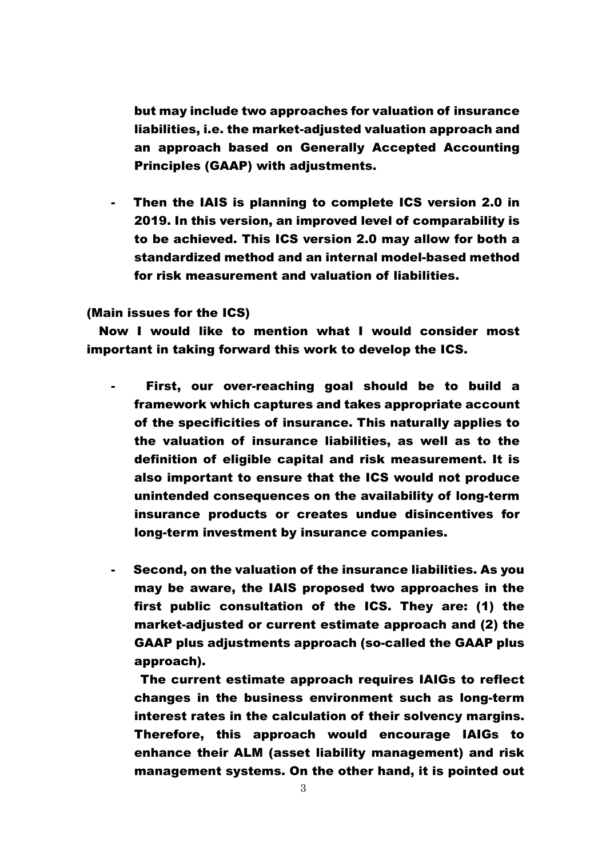but may include two approaches for valuation of insurance liabilities, i.e. the market-adjusted valuation approach and an approach based on Generally Accepted Accounting Principles (GAAP) with adjustments.

Then the IAIS is planning to complete ICS version 2.0 in 2019. In this version, an improved level of comparability is to be achieved. This ICS version 2.0 may allow for both a standardized method and an internal model-based method for risk measurement and valuation of liabilities.

(Main issues for the ICS)

 Now I would like to mention what I would consider most important in taking forward this work to develop the ICS.

- First, our over-reaching goal should be to build a framework which captures and takes appropriate account of the specificities of insurance. This naturally applies to the valuation of insurance liabilities, as well as to the definition of eligible capital and risk measurement. It is also important to ensure that the ICS would not produce unintended consequences on the availability of long-term insurance products or creates undue disincentives for long-term investment by insurance companies.
- Second, on the valuation of the insurance liabilities. As you may be aware, the IAIS proposed two approaches in the first public consultation of the ICS. They are: (1) the market-adjusted or current estimate approach and (2) the GAAP plus adjustments approach (so-called the GAAP plus approach).

 The current estimate approach requires IAIGs to reflect changes in the business environment such as long-term interest rates in the calculation of their solvency margins. Therefore, this approach would encourage IAIGs to enhance their ALM (asset liability management) and risk management systems. On the other hand, it is pointed out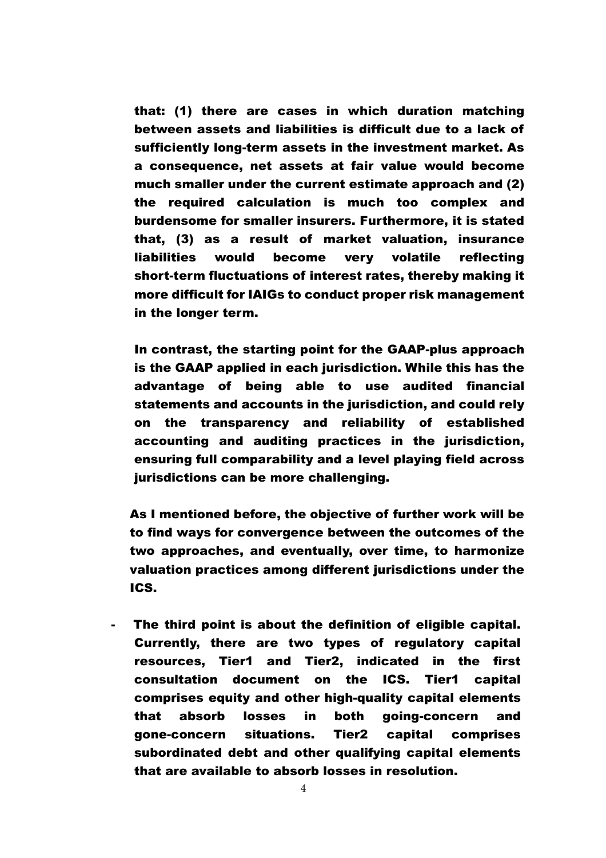that: (1) there are cases in which duration matching between assets and liabilities is difficult due to a lack of sufficiently long-term assets in the investment market. As a consequence, net assets at fair value would become much smaller under the current estimate approach and (2) the required calculation is much too complex and burdensome for smaller insurers. Furthermore, it is stated that, (3) as a result of market valuation, insurance liabilities would become very volatile reflecting short-term fluctuations of interest rates, thereby making it more difficult for IAIGs to conduct proper risk management in the longer term.

 In contrast, the starting point for the GAAP-plus approach is the GAAP applied in each jurisdiction. While this has the advantage of being able to use audited financial statements and accounts in the jurisdiction, and could rely on the transparency and reliability of established accounting and auditing practices in the jurisdiction, ensuring full comparability and a level playing field across jurisdictions can be more challenging.

As I mentioned before, the objective of further work will be to find ways for convergence between the outcomes of the two approaches, and eventually, over time, to harmonize valuation practices among different jurisdictions under the ICS.

- The third point is about the definition of eligible capital. Currently, there are two types of regulatory capital resources, Tier1 and Tier2, indicated in the first consultation document on the ICS. Tier1 capital comprises equity and other high-quality capital elements that absorb losses in both going-concern and gone-concern situations. Tier2 capital comprises subordinated debt and other qualifying capital elements that are available to absorb losses in resolution.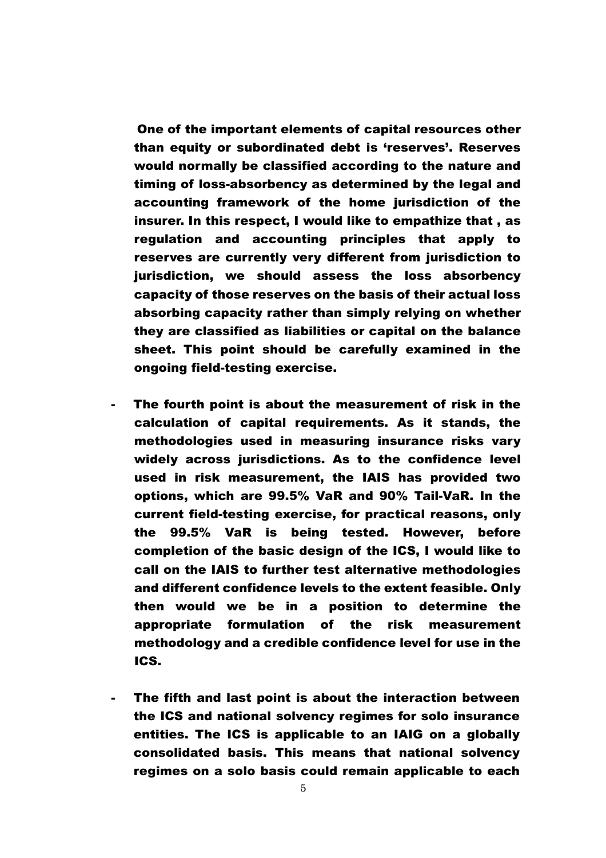One of the important elements of capital resources other than equity or subordinated debt is 'reserves'. Reserves would normally be classified according to the nature and timing of loss-absorbency as determined by the legal and accounting framework of the home jurisdiction of the insurer. In this respect, I would like to empathize that , as regulation and accounting principles that apply to reserves are currently very different from jurisdiction to jurisdiction, we should assess the loss absorbency capacity of those reserves on the basis of their actual loss absorbing capacity rather than simply relying on whether they are classified as liabilities or capital on the balance sheet. This point should be carefully examined in the ongoing field-testing exercise.

- The fourth point is about the measurement of risk in the calculation of capital requirements. As it stands, the methodologies used in measuring insurance risks vary widely across jurisdictions. As to the confidence level used in risk measurement, the IAIS has provided two options, which are 99.5% VaR and 90% Tail-VaR. In the current field-testing exercise, for practical reasons, only the 99.5% VaR is being tested. However, before completion of the basic design of the ICS, I would like to call on the IAIS to further test alternative methodologies and different confidence levels to the extent feasible. Only then would we be in a position to determine the appropriate formulation of the risk measurement methodology and a credible confidence level for use in the ICS.
- The fifth and last point is about the interaction between the ICS and national solvency regimes for solo insurance entities. The ICS is applicable to an IAIG on a globally consolidated basis. This means that national solvency regimes on a solo basis could remain applicable to each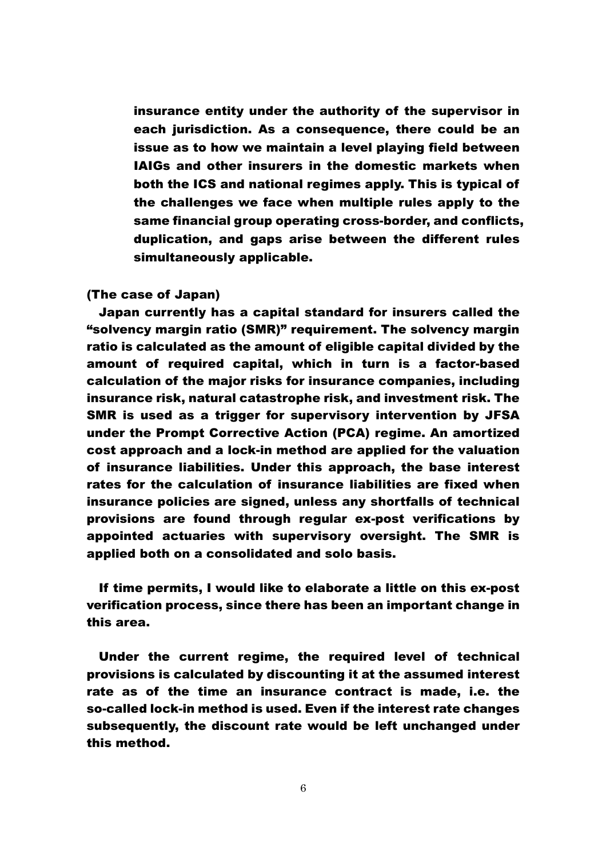insurance entity under the authority of the supervisor in each jurisdiction. As a consequence, there could be an issue as to how we maintain a level playing field between IAIGs and other insurers in the domestic markets when both the ICS and national regimes apply. This is typical of the challenges we face when multiple rules apply to the same financial group operating cross-border, and conflicts, duplication, and gaps arise between the different rules simultaneously applicable.

## (The case of Japan)

Japan currently has a capital standard for insurers called the "solvency margin ratio (SMR)" requirement. The solvency margin ratio is calculated as the amount of eligible capital divided by the amount of required capital, which in turn is a factor-based calculation of the major risks for insurance companies, including insurance risk, natural catastrophe risk, and investment risk. The SMR is used as a trigger for supervisory intervention by JFSA under the Prompt Corrective Action (PCA) regime. An amortized cost approach and a lock-in method are applied for the valuation of insurance liabilities. Under this approach, the base interest rates for the calculation of insurance liabilities are fixed when insurance policies are signed, unless any shortfalls of technical provisions are found through regular ex-post verifications by appointed actuaries with supervisory oversight. The SMR is applied both on a consolidated and solo basis.

If time permits, I would like to elaborate a little on this ex-post verification process, since there has been an important change in this area.

Under the current regime, the required level of technical provisions is calculated by discounting it at the assumed interest rate as of the time an insurance contract is made, i.e. the so-called lock-in method is used. Even if the interest rate changes subsequently, the discount rate would be left unchanged under this method.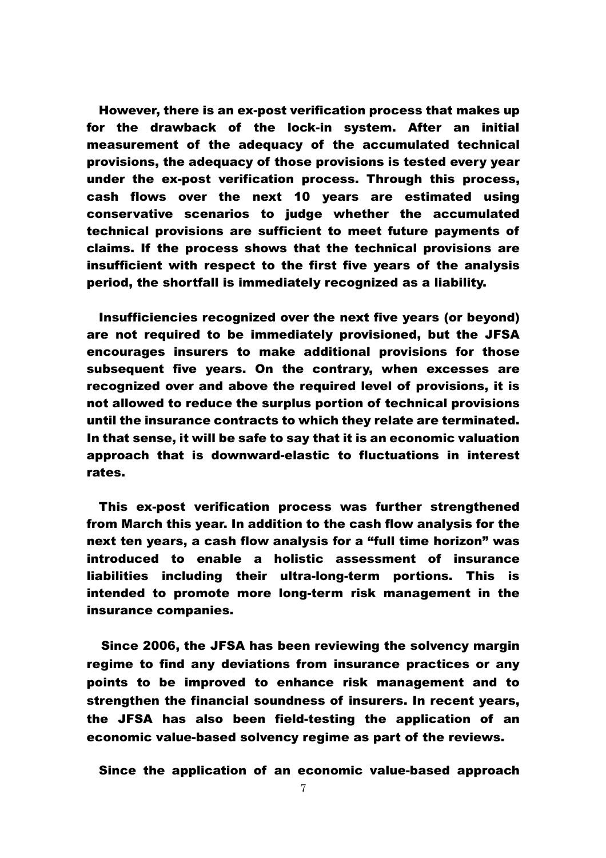However, there is an ex-post verification process that makes up for the drawback of the lock-in system. After an initial measurement of the adequacy of the accumulated technical provisions, the adequacy of those provisions is tested every year under the ex-post verification process. Through this process, cash flows over the next 10 years are estimated using conservative scenarios to judge whether the accumulated technical provisions are sufficient to meet future payments of claims. If the process shows that the technical provisions are insufficient with respect to the first five years of the analysis period, the shortfall is immediately recognized as a liability.

Insufficiencies recognized over the next five years (or beyond) are not required to be immediately provisioned, but the JFSA encourages insurers to make additional provisions for those subsequent five years. On the contrary, when excesses are recognized over and above the required level of provisions, it is not allowed to reduce the surplus portion of technical provisions until the insurance contracts to which they relate are terminated. In that sense, it will be safe to say that it is an economic valuation approach that is downward-elastic to fluctuations in interest rates.

This ex-post verification process was further strengthened from March this year. In addition to the cash flow analysis for the next ten years, a cash flow analysis for a "full time horizon" was introduced to enable a holistic assessment of insurance liabilities including their ultra-long-term portions. This is intended to promote more long-term risk management in the insurance companies.

Since 2006, the JFSA has been reviewing the solvency margin regime to find any deviations from insurance practices or any points to be improved to enhance risk management and to strengthen the financial soundness of insurers. In recent years, the JFSA has also been field-testing the application of an economic value-based solvency regime as part of the reviews.

Since the application of an economic value-based approach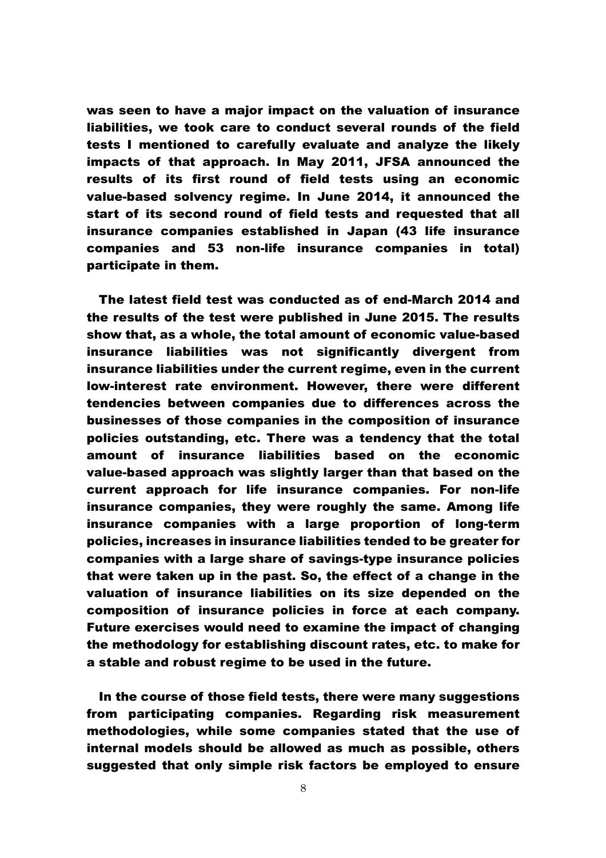was seen to have a major impact on the valuation of insurance liabilities, we took care to conduct several rounds of the field tests I mentioned to carefully evaluate and analyze the likely impacts of that approach. In May 2011, JFSA announced the results of its first round of field tests using an economic value-based solvency regime. In June 2014, it announced the start of its second round of field tests and requested that all insurance companies established in Japan (43 life insurance companies and 53 non-life insurance companies in total) participate in them.

The latest field test was conducted as of end-March 2014 and the results of the test were published in June 2015. The results show that, as a whole, the total amount of economic value-based insurance liabilities was not significantly divergent from insurance liabilities under the current regime, even in the current low-interest rate environment. However, there were different tendencies between companies due to differences across the businesses of those companies in the composition of insurance policies outstanding, etc. There was a tendency that the total amount of insurance liabilities based on the economic value-based approach was slightly larger than that based on the current approach for life insurance companies. For non-life insurance companies, they were roughly the same. Among life insurance companies with a large proportion of long-term policies, increases in insurance liabilities tended to be greater for companies with a large share of savings-type insurance policies that were taken up in the past. So, the effect of a change in the valuation of insurance liabilities on its size depended on the composition of insurance policies in force at each company. Future exercises would need to examine the impact of changing the methodology for establishing discount rates, etc. to make for a stable and robust regime to be used in the future.

In the course of those field tests, there were many suggestions from participating companies. Regarding risk measurement methodologies, while some companies stated that the use of internal models should be allowed as much as possible, others suggested that only simple risk factors be employed to ensure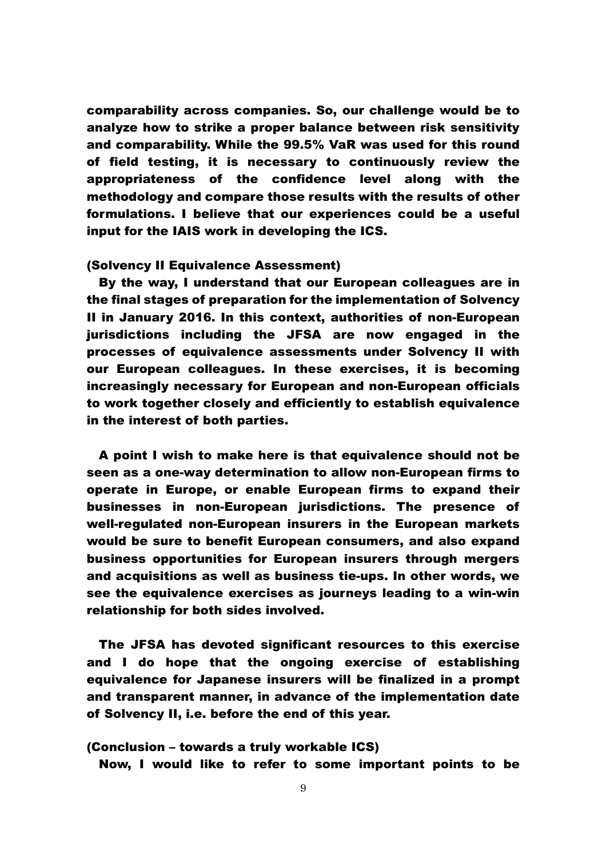comparability across companies. So, our challenge would be to analyze how to strike a proper balance between risk sensitivity and comparability. While the 99.5% VaR was used for this round of field testing, it is necessary to continuously review the appropriateness of the confidence level along with the methodology and compare those results with the results of other formulations. I believe that our experiences could be a useful input for the IAIS work in developing the ICS.

## (Solvency II Equivalence Assessment)

By the way, I understand that our European colleagues are in the final stages of preparation for the implementation of Solvency II in January 2016. In this context, authorities of non-European jurisdictions including the JFSA are now engaged in the processes of equivalence assessments under Solvency II with our European colleagues. In these exercises, it is becoming increasingly necessary for European and non-European officials to work together closely and efficiently to establish equivalence in the interest of both parties.

A point I wish to make here is that equivalence should not be seen as a one-way determination to allow non-European firms to operate in Europe, or enable European firms to expand their businesses in non-European jurisdictions. The presence of well-regulated non-European insurers in the European markets would be sure to benefit European consumers, and also expand business opportunities for European insurers through mergers and acquisitions as well as business tie-ups. In other words, we see the equivalence exercises as journeys leading to a win-win relationship for both sides involved.

The JFSA has devoted significant resources to this exercise and I do hope that the ongoing exercise of establishing equivalence for Japanese insurers will be finalized in a prompt and transparent manner, in advance of the implementation date of Solvency II, i.e. before the end of this year.

## (Conclusion – towards a truly workable ICS)

Now, I would like to refer to some important points to be